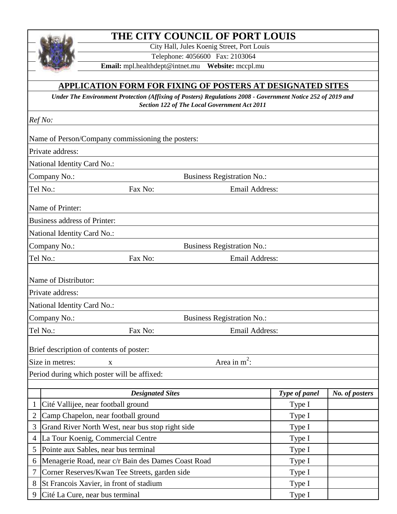## **THE CITY COUNCIL OF PORT LOUIS**

City Hall, Jules Koenig Street, Port Louis

Telephone: 4056600 Fax: 2103064

**Email:** mpl.healthdept@intnet.mu **Website:** mccpl.mu

## **APPLICATION FORM FOR FIXING OF POSTERS AT DESIGNATED SITES**

*Under The Environment Protection (Affixing of Posters) Regulations 2008 - Government Notice 252 of 2019 and Section 122 of The Local Government Act 2011* 

*Ref No:* 

|                                                   |                                                    | Name of Person/Company commissioning the posters: |                |                       |               |                |
|---------------------------------------------------|----------------------------------------------------|---------------------------------------------------|----------------|-----------------------|---------------|----------------|
|                                                   | Private address:                                   |                                                   |                |                       |               |                |
|                                                   | National Identity Card No.:                        |                                                   |                |                       |               |                |
|                                                   | Company No.:<br><b>Business Registration No.:</b>  |                                                   |                |                       |               |                |
| Tel No.:                                          |                                                    | Fax No:                                           |                | <b>Email Address:</b> |               |                |
|                                                   | Name of Printer:                                   |                                                   |                |                       |               |                |
|                                                   | Business address of Printer:                       |                                                   |                |                       |               |                |
|                                                   | National Identity Card No.:                        |                                                   |                |                       |               |                |
|                                                   |                                                    |                                                   |                |                       |               |                |
| Tel No.:                                          | Company No.:<br><b>Business Registration No.:</b>  |                                                   | Email Address: |                       |               |                |
|                                                   |                                                    | Fax No:                                           |                |                       |               |                |
|                                                   | Name of Distributor:                               |                                                   |                |                       |               |                |
|                                                   | Private address:                                   |                                                   |                |                       |               |                |
|                                                   | National Identity Card No.:                        |                                                   |                |                       |               |                |
| Company No.:<br><b>Business Registration No.:</b> |                                                    |                                                   |                |                       |               |                |
|                                                   | Tel No.:<br><b>Email Address:</b><br>Fax No:       |                                                   |                |                       |               |                |
|                                                   |                                                    |                                                   |                |                       |               |                |
|                                                   | Brief description of contents of poster:           |                                                   |                |                       |               |                |
|                                                   | Area in $m^2$ :<br>Size in metres:<br>X            |                                                   |                |                       |               |                |
|                                                   | Period during which poster will be affixed:        |                                                   |                |                       |               |                |
|                                                   |                                                    | <b>Designated Sites</b>                           |                |                       | Type of panel | No. of posters |
| 1                                                 | Cité Vallijee, near football ground                |                                                   |                |                       | Type I        |                |
| 2                                                 | Camp Chapelon, near football ground                |                                                   |                | Type I                |               |                |
| 3                                                 | Grand River North West, near bus stop right side   |                                                   |                | Type I                |               |                |
| 4                                                 | La Tour Koenig, Commercial Centre                  |                                                   |                | Type I                |               |                |
| 5                                                 | Pointe aux Sables, near bus terminal               |                                                   |                |                       | Type I        |                |
| 6                                                 | Menagerie Road, near c/r Bain des Dames Coast Road |                                                   |                | Type I                |               |                |
| 7                                                 | Corner Reserves/Kwan Tee Streets, garden side      |                                                   |                | Type I                |               |                |
| 8                                                 | St Francois Xavier, in front of stadium            |                                                   |                | Type I                |               |                |
| 9                                                 | Cité La Cure, near bus terminal                    |                                                   |                | Type I                |               |                |